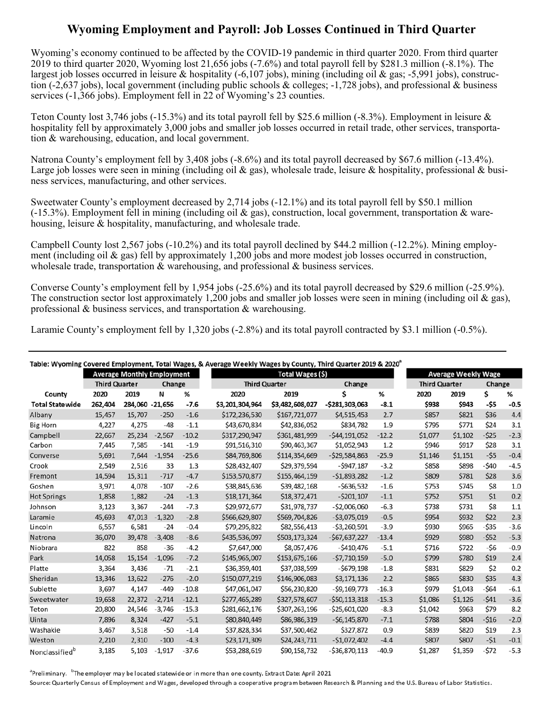## **Wyoming Employment and Payroll: Job Losses Continued in Third Quarter**

 Wyoming's economy continued to be affected by the COVID-19 pandemic in third quarter 2020. From third quarter 2019 to third quarter 2020, Wyoming lost 21,656 jobs (-7.6%) and total payroll fell by \$281.3 million (-8.1%). The largest job losses occurred in leisure & hospitality (-6,107 jobs), mining (including oil & gas; -5,991 jobs), construc- tion (-2,637 jobs), local government (including public schools & colleges; -1,728 jobs), and professional & business services (-1,366 jobs). Employment fell in 22 of Wyoming's 23 counties.

Teton County lost 3,746 jobs (-15.3%) and its total payroll fell by \$25.6 million (-8.3%). Employment in leisure & hospitality fell by approximately 3,000 jobs and smaller job losses occurred in retail trade, other services, transportation & warehousing, education, and local government.

Large job losses were seen in mining (including oil & gas), wholesale trade, leisure & hospitality, professional & busi-Natrona County's employment fell by 3,408 jobs (-8.6%) and its total payroll decreased by \$67.6 million (-13.4%). ness services, manufacturing, and other services.

(-15.3%). Employment fell in mining (including oil  $\&$  gas), construction, local government, transportation  $\&$  ware-Sweetwater County's employment decreased by 2,714 jobs (-12.1%) and its total payroll fell by \$50.1 million housing, leisure & hospitality, manufacturing, and wholesale trade.

 ment (including oil & gas) fell by approximately 1,200 jobs and more modest job losses occurred in construction, Campbell County lost 2,567 jobs (-10.2%) and its total payroll declined by \$44.2 million (-12.2%). Mining employwholesale trade, transportation & warehousing, and professional & business services.

 professional & business services, and transportation & warehousing. Converse County's employment fell by 1,954 jobs (-25.6%) and its total payroll decreased by \$29.6 million (-25.9%). The construction sector lost approximately 1,200 jobs and smaller job losses were seen in mining (including oil  $\&$  gas),

Laramie County's employment fell by 1,320 jobs (-2.8%) and its total payroll contracted by \$3.1 million (-0.5%).

|                            |                                   |                 |          |         | Table: Wyoming Covered Employment, Total Wages, & Average Weekly Wages by County, Third Quarter 2019 & 2020 <sup>ª</sup> |                  |                  |         |                      |                            |        |        |  |
|----------------------------|-----------------------------------|-----------------|----------|---------|--------------------------------------------------------------------------------------------------------------------------|------------------|------------------|---------|----------------------|----------------------------|--------|--------|--|
|                            | <b>Average Monthly Employment</b> |                 |          |         |                                                                                                                          | Total Wages (\$) |                  |         |                      | <b>Average Weekly Wage</b> |        |        |  |
|                            | <b>Third Quarter</b>              |                 | Change   |         | <b>Third Quarter</b>                                                                                                     |                  | Change           |         | <b>Third Quarter</b> |                            | Change |        |  |
| County                     | 2020                              | 2019            | N        | %       | 2020                                                                                                                     | 2019             | Ś                | %       | 2020                 | 2019                       | \$     | %      |  |
| <b>Total Statewide</b>     | 262,404                           | 284,060 -21,656 |          | $-7.6$  | \$3,201,304,964                                                                                                          | \$3,482,608,027  | $-5281,303,063$  | $-8.1$  | \$938                | \$943                      | -\$5   | $-0.5$ |  |
| Albany                     | 15,457                            | 15,707          | $-250$   | $-1.6$  | \$172,236,530                                                                                                            | \$167,721,077    | \$4,515,453      | 2.7     | <b>\$857</b>         | \$821                      | \$36   | 4.4    |  |
| <b>Big Horn</b>            | 4,227                             | 4,275           | $-48$    | $-1.1$  | \$43,670,834                                                                                                             | \$42,836,052     | \$834,782        | 1.9     | \$795                | \$771                      | \$24   | 3.1    |  |
| Campbell                   | 22.667                            | 25,234          | $-2.567$ | $-10.2$ | \$317,290,947                                                                                                            | \$361.481.999    | $-544.191.052$   | $-12.2$ | \$1.077              | \$1.102                    | $-525$ | $-2.3$ |  |
| Carbon                     | 7,445                             | 7,585           | $-141$   | $-1.9$  | \$91,516,310                                                                                                             | \$90,463,367     | \$1,052,943      | 1.2     | \$946                | \$917                      | \$28   | 3.1    |  |
| Converse                   | 5,691                             | 7.644           | $-1,954$ | $-25.6$ | \$84,769,806                                                                                                             | \$114,354,669    | $-529,584,863$   | $-25.9$ | \$1,146              | \$1,151                    | $-55$  | $-0.4$ |  |
| Crook                      | 2,549                             | 2,516           | 33       | 1.3     | \$28,432,407                                                                                                             | \$29,379,594     | $-5947,187$      | $-3.2$  | \$858                | \$898                      | $-540$ | $-4.5$ |  |
| Fremont                    | 14,594                            | 15,311          | $-717$   | $-4.7$  | \$153,570,877                                                                                                            | \$155,464,159    | $-51,893,282$    | $-1.2$  | \$809                | \$781                      | \$28   | 3.6    |  |
| Goshen                     | 3,971                             | 4,078           | $-107$   | $-2.6$  | \$38,845,636                                                                                                             | \$39,482,168     | $-5636,532$      | $-1.6$  | \$753                | \$745                      | \$8    | 1.0    |  |
| <b>Hot Springs</b>         | 1,858                             | 1,882           | $-24$    | $-1.3$  | \$18,171,364                                                                                                             | \$18,372,471     | $-5201,107$      | $-1.1$  | \$752                | \$751                      | \$1    | 0.2    |  |
| Johnson                    | 3,123                             | 3,367           | $-244$   | $-7.3$  | \$29,972,677                                                                                                             | \$31,978,737     | $-52,006,060$    | $-6.3$  | \$738                | \$731                      | \$8    | 1.1    |  |
| Laramie                    | 45.693                            | 47,013          | $-1,320$ | $-2.8$  | \$566,629,807                                                                                                            | \$569,704,826    | $-53,075,019$    | $-0.5$  | \$954                | \$932                      | \$22   | 2.3    |  |
| Lincoln                    | 6,557                             | 6,581           | $-24$    | $-0.4$  | \$79,295,822                                                                                                             | \$82,556,413     | $-53,260,591$    | $-3.9$  | \$930                | \$965                      | $-535$ | $-3.6$ |  |
| Natrona                    | 36.070                            | 39.478          | $-3.408$ | $-8.6$  | \$435,536,097                                                                                                            | \$503,173,324    | $-567,637,227$   | $-13.4$ | \$929                | \$980                      | $-552$ | $-5.3$ |  |
| Niobrara                   | 822                               | 858             | $-36$    | $-4.2$  | \$7,647,000                                                                                                              | \$8,057,476      | $-5410,476$      | $-5.1$  | \$716                | \$722                      | -\$6   | $-0.9$ |  |
| Park                       | 14,058                            | 15,154          | $-1,096$ | $-7.2$  | \$145,965,007                                                                                                            | \$153,675,166    | $-57,710,159$    | $-5.0$  | \$799                | \$780                      | \$19   | 2.4    |  |
| Platte                     | 3,364                             | 3,436           | $-71$    | $-2.1$  | \$36,359,401                                                                                                             | \$37,038,599     | $-5679,198$      | $-1.8$  | \$831                | \$829                      | \$2    | 0.2    |  |
| Sheridan                   | 13,346                            | 13,622          | $-276$   | $-2.0$  | \$150,077,219                                                                                                            | \$146,906,083    | \$3,171,136      | 2.2     | \$865                | \$830                      | \$35   | 4.3    |  |
| Sublette                   | 3,697                             | 4,147           | $-449$   | $-10.8$ | \$47,061,047                                                                                                             | \$56,230,820     | $-59,169,773$    | $-16.3$ | \$979                | \$1,043                    | -\$64  | $-6.1$ |  |
| Sweetwater                 | 19,658                            | 22,372          | $-2,714$ | $-12.1$ | \$277,465,289                                                                                                            | \$327,578,607    | $-550, 113, 318$ | $-15.3$ | \$1.086              | \$1,126                    | $-541$ | $-3.6$ |  |
| Teton                      | 20,800                            | 24,546          | $-3,746$ | $-15.3$ | \$281,662,176                                                                                                            | \$307,263,196    | $-$ \$25,601,020 | $-8.3$  | \$1,042              | \$963                      | \$79   | 8.2    |  |
| Uinta                      | 7,896                             | 8,324           | $-427$   | $-5.1$  | \$80,840,449                                                                                                             | \$86,986,319     | $-56, 145, 870$  | $-7.1$  | \$788                | \$804                      | $-516$ | $-2.0$ |  |
| Washakie                   | 3,467                             | 3,518           | $-50$    | $-1.4$  | \$37,828,334                                                                                                             | \$37,500,462     | \$327,872        | 0.9     | \$839                | \$820                      | \$19   | 2.3    |  |
| Weston                     | 2,210                             | 2,310           | $-100$   | $-4.3$  | \$23,171,309                                                                                                             | \$24,243,711     | $-$1,072,402$    | $-4.4$  | \$807                | \$807                      | $-51$  | $-0.1$ |  |
| Nonclassified <sup>b</sup> | 3,185                             | 5,103           | $-1,917$ | $-37.6$ | \$53,288,619                                                                                                             | \$90,158,732     | $-536,870,113$   | $-40.9$ | \$1,287              | \$1,359                    | -\$72  | $-5.3$ |  |

<sup>a</sup>Preliminary. <sup>b</sup>The employer may be located statewide or in more than one county. Extract Date: April 2021

Source: Quarterly Census of Employment and Wages, developed through a cooperative program between Research & Planning and the U.S. Bureau of Labor Statistics.